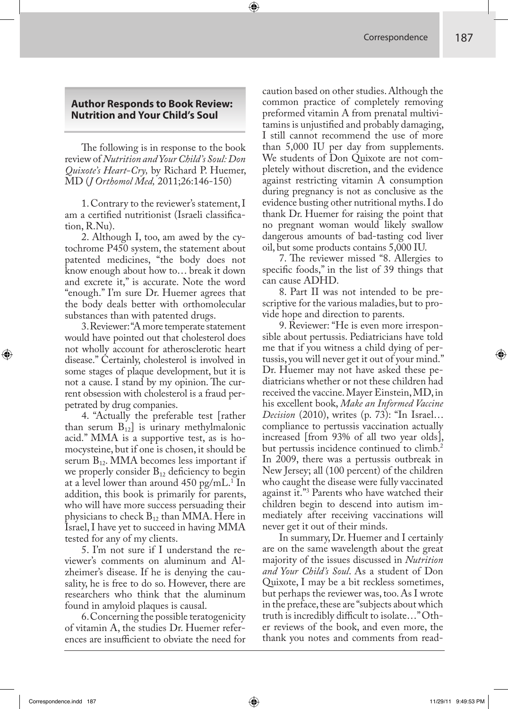## **Author Responds to Book Review: Nutrition and Your Child's Soul**

The following is in response to the book review of *Nutrition and Your Child's Soul: Don Quixote's Heart-Cry,* by Richard P. Huemer, MD (*J Orthomol Med,* 2011;26:146-150)

1. Contrary to the reviewer's statement, I am a certified nutritionist (Israeli classification, R.Nu).

2. Although I, too, am awed by the cytochrome P450 system, the statement about patented medicines, "the body does not know enough about how to… break it down and excrete it," is accurate. Note the word "enough." I'm sure Dr. Huemer agrees that the body deals better with orthomolecular substances than with patented drugs.

3. Reviewer: "A more temperate statement would have pointed out that cholesterol does not wholly account for atherosclerotic heart disease." Certainly, cholesterol is involved in some stages of plaque development, but it is not a cause. I stand by my opinion. The current obsession with cholesterol is a fraud perpetrated by drug companies.

4. "Actually the preferable test [rather than serum  $B_{12}$ ] is urinary methylmalonic acid." MMA is a supportive test, as is homocysteine, but if one is chosen, it should be serum  $B_{12}$ . MMA becomes less important if we properly consider  $B_{12}$  deficiency to begin at a level lower than around 450 pg/mL.<sup>1</sup> In addition, this book is primarily for parents, who will have more success persuading their physicians to check  $B_{12}$  than MMA. Here in Israel, I have yet to succeed in having MMA tested for any of my clients.

5. I'm not sure if I understand the reviewer's comments on aluminum and Alzheimer's disease. If he is denying the causality, he is free to do so. However, there are researchers who think that the aluminum found in amyloid plaques is causal.

6. Concerning the possible teratogenicity of vitamin A, the studies Dr. Huemer references are insufficient to obviate the need for

caution based on other studies. Although the common practice of completely removing preformed vitamin A from prenatal multivitamins is unjustified and probably damaging, I still cannot recommend the use of more than 5,000 IU per day from supplements. We students of Don Quixote are not completely without discretion, and the evidence against restricting vitamin A consumption during pregnancy is not as conclusive as the evidence busting other nutritional myths. I do thank Dr. Huemer for raising the point that no pregnant woman would likely swallow dangerous amounts of bad-tasting cod liver oil, but some products contains 5,000 IU.

7. The reviewer missed "8. Allergies to specific foods," in the list of 39 things that can cause ADHD.

8. Part II was not intended to be prescriptive for the various maladies, but to provide hope and direction to parents.

9. Reviewer: "He is even more irresponsible about pertussis. Pediatricians have told me that if you witness a child dying of pertussis, you will never get it out of your mind." Dr. Huemer may not have asked these pediatricians whether or not these children had received the vaccine. Mayer Einstein, MD, in his excellent book, *Make an Informed Vaccine Decision* (2010), writes (p. 73): "In Israel… compliance to pertussis vaccination actually increased [from 93% of all two year olds], but pertussis incidence continued to climb.<sup>2</sup> In 2009, there was a pertussis outbreak in New Jersey; all (100 percent) of the children who caught the disease were fully vaccinated against it."3 Parents who have watched their children begin to descend into autism immediately after receiving vaccinations will never get it out of their minds.

In summary, Dr. Huemer and I certainly are on the same wavelength about the great majority of the issues discussed in *Nutrition and Your Child's Soul*. As a student of Don Quixote, I may be a bit reckless sometimes, but perhaps the reviewer was, too. As I wrote in the preface, these are "subjects about which truth is incredibly difficult to isolate..." Other reviews of the book, and even more, the thank you notes and comments from read